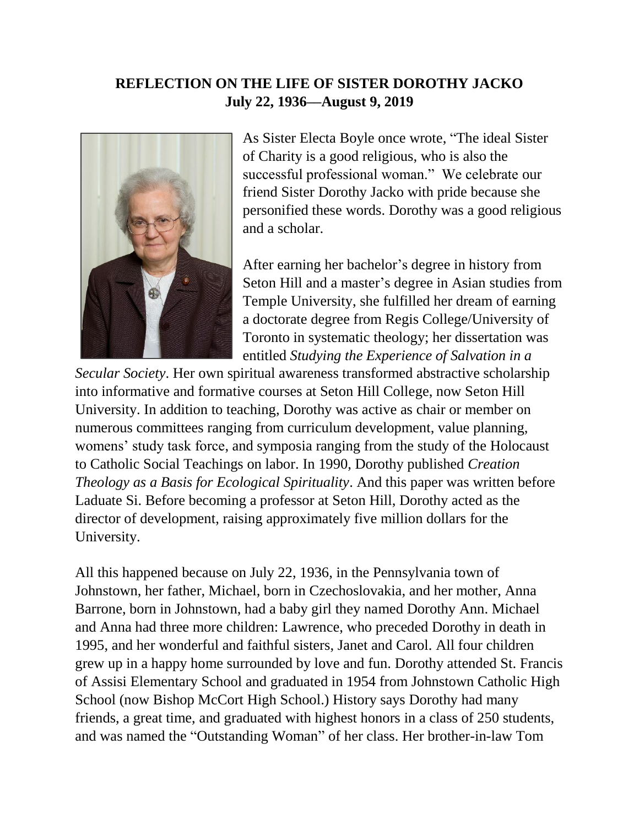## **REFLECTION ON THE LIFE OF SISTER DOROTHY JACKO July 22, 1936––August 9, 2019**



As Sister Electa Boyle once wrote, "The ideal Sister of Charity is a good religious, who is also the successful professional woman." We celebrate our friend Sister Dorothy Jacko with pride because she personified these words. Dorothy was a good religious and a scholar.

After earning her bachelor's degree in history from Seton Hill and a master's degree in Asian studies from Temple University, she fulfilled her dream of earning a doctorate degree from Regis College/University of Toronto in systematic theology; her dissertation was entitled *Studying the Experience of Salvation in a* 

*Secular Society*. Her own spiritual awareness transformed abstractive scholarship into informative and formative courses at Seton Hill College, now Seton Hill University. In addition to teaching, Dorothy was active as chair or member on numerous committees ranging from curriculum development, value planning, womens' study task force, and symposia ranging from the study of the Holocaust to Catholic Social Teachings on labor. In 1990, Dorothy published *Creation Theology as a Basis for Ecological Spirituality*. And this paper was written before Laduate Si. Before becoming a professor at Seton Hill, Dorothy acted as the director of development, raising approximately five million dollars for the University.

All this happened because on July 22, 1936, in the Pennsylvania town of Johnstown, her father, Michael, born in Czechoslovakia, and her mother, Anna Barrone, born in Johnstown, had a baby girl they named Dorothy Ann. Michael and Anna had three more children: Lawrence, who preceded Dorothy in death in 1995, and her wonderful and faithful sisters, Janet and Carol. All four children grew up in a happy home surrounded by love and fun. Dorothy attended St. Francis of Assisi Elementary School and graduated in 1954 from Johnstown Catholic High School (now Bishop McCort High School.) History says Dorothy had many friends, a great time, and graduated with highest honors in a class of 250 students, and was named the "Outstanding Woman" of her class. Her brother-in-law Tom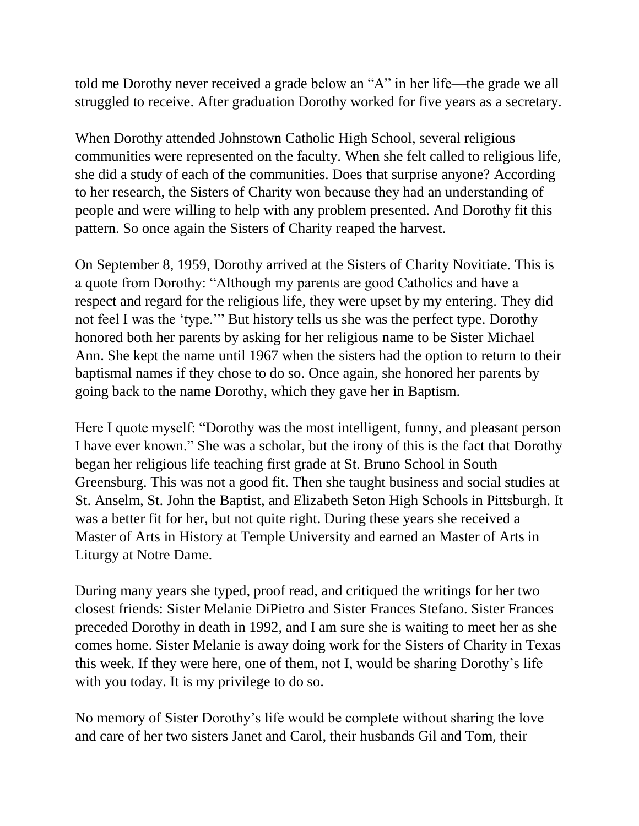told me Dorothy never received a grade below an "A" in her life––the grade we all struggled to receive. After graduation Dorothy worked for five years as a secretary.

When Dorothy attended Johnstown Catholic High School, several religious communities were represented on the faculty. When she felt called to religious life, she did a study of each of the communities. Does that surprise anyone? According to her research, the Sisters of Charity won because they had an understanding of people and were willing to help with any problem presented. And Dorothy fit this pattern. So once again the Sisters of Charity reaped the harvest.

On September 8, 1959, Dorothy arrived at the Sisters of Charity Novitiate. This is a quote from Dorothy: "Although my parents are good Catholics and have a respect and regard for the religious life, they were upset by my entering. They did not feel I was the 'type.'" But history tells us she was the perfect type. Dorothy honored both her parents by asking for her religious name to be Sister Michael Ann. She kept the name until 1967 when the sisters had the option to return to their baptismal names if they chose to do so. Once again, she honored her parents by going back to the name Dorothy, which they gave her in Baptism.

Here I quote myself: "Dorothy was the most intelligent, funny, and pleasant person I have ever known." She was a scholar, but the irony of this is the fact that Dorothy began her religious life teaching first grade at St. Bruno School in South Greensburg. This was not a good fit. Then she taught business and social studies at St. Anselm, St. John the Baptist, and Elizabeth Seton High Schools in Pittsburgh. It was a better fit for her, but not quite right. During these years she received a Master of Arts in History at Temple University and earned an Master of Arts in Liturgy at Notre Dame.

During many years she typed, proof read, and critiqued the writings for her two closest friends: Sister Melanie DiPietro and Sister Frances Stefano. Sister Frances preceded Dorothy in death in 1992, and I am sure she is waiting to meet her as she comes home. Sister Melanie is away doing work for the Sisters of Charity in Texas this week. If they were here, one of them, not I, would be sharing Dorothy's life with you today. It is my privilege to do so.

No memory of Sister Dorothy's life would be complete without sharing the love and care of her two sisters Janet and Carol, their husbands Gil and Tom, their